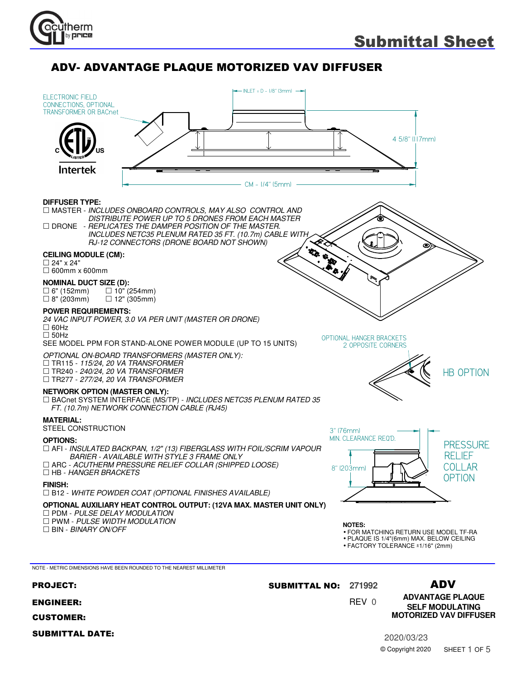



PROJECT: **271992** SUBMITTAL NO:

- ENGINEER:
	- CUSTOMER:
	- SUBMITTAL DATE:

0 REV

ADV

2020/03/23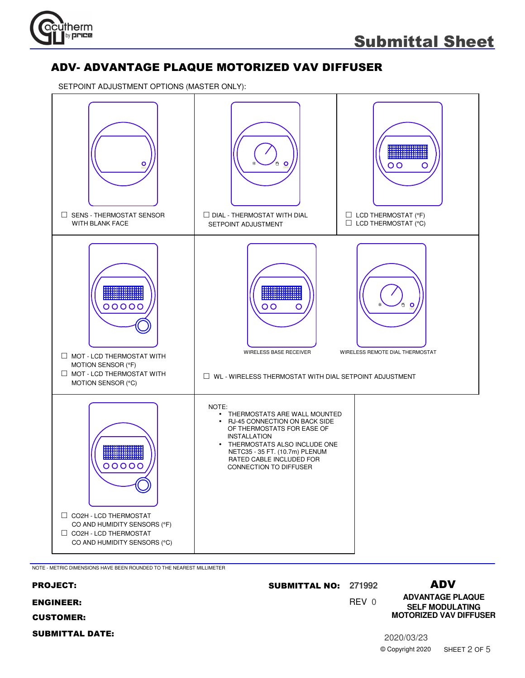

SETPOINT ADJUSTMENT OPTIONS (MASTER ONLY):



NOTE - METRIC DIMENSIONS HAVE BEEN ROUNDED TO THE NEAREST MILLIMETER

| <b>PROJECT:</b>        | <b>SUBMITTAL NO: 271992</b> |       |                  | ADV                                               |
|------------------------|-----------------------------|-------|------------------|---------------------------------------------------|
| <b>ENGINEER:</b>       |                             | REV 0 |                  | <b>ADVANTAGE PLAQUE</b><br><b>SELF MODULATING</b> |
| <b>CUSTOMER:</b>       |                             |       |                  | <b>MOTORIZED VAV DIFFUSER</b>                     |
| <b>SUBMITTAL DATE:</b> |                             |       | 2020/03/23       |                                                   |
|                        |                             |       | © Copyright 2020 | SHEET 2 OF 5                                      |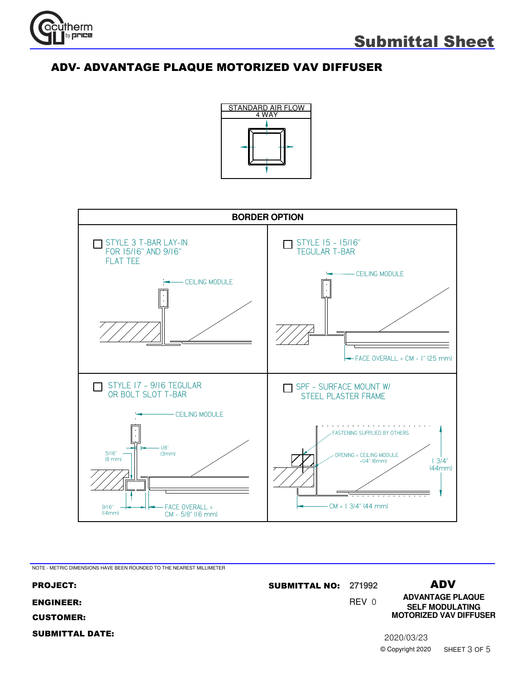





NOTE - METRIC DIMENSIONS HAVE BEEN ROUNDED TO THE NEAREST MILLIMETER

0 REV ADV **ADVANTAGE PLAQUE** PROJECT: **271992** SUBMITTAL NO: ENGINEER: CUSTOMER: SUBMITTAL DATE: 2020/03/23 © Copyright 2020 **SELF MODULATING MOTORIZED VAV DIFFUSER** SHEET 3 OF 5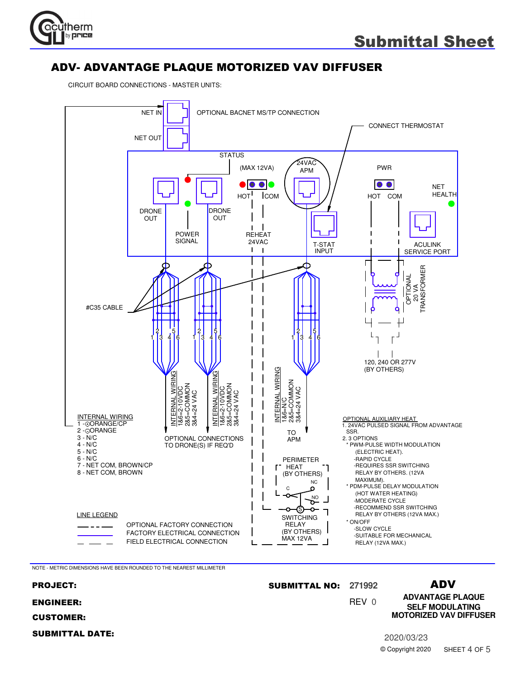

CIRCUIT BOARD CONNECTIONS - MASTER UNITS:



NOTE - METRIC DIMENSIONS HAVE BEEN ROUNDED TO THE NEAREST MILLIMETER

#### 0 REV ADV **ADVANTAGE PLAQUE** PROJECT: **271992** SUBMITTAL NO: ENGINEER: CUSTOMER: SUBMITTAL DATE: 2020/03/23 © Copyright 2020 **SELF MODULATING MOTORIZED VAV DIFFUSER** SHEET 4 OF 5